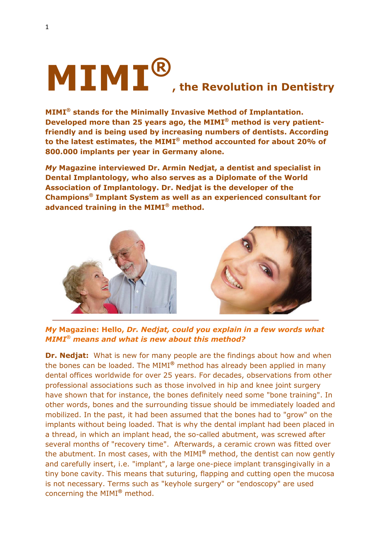# **MIMI® , the Revolution in Dentistry**

**MIMI® stands for the Minimally Invasive Method of Implantation. Developed more than 25 years ago, the MIMI® method is very patientfriendly and is being used by increasing numbers of dentists. According to the latest estimates, the MIMI® method accounted for about 20% of 800.000 implants per year in Germany alone.** 

*My* **Magazine interviewed Dr. Armin Nedjat, a dentist and specialist in Dental Implantology, who also serves as a Diplomate of the World Association of Implantology. Dr. Nedjat is the developer of the Champions® Implant System as well as an experienced consultant for advanced training in the MIMI® method.** 



*My* **Magazine: Hello,** *Dr. Nedjat, could you explain in a few words what MIMI***®** *means and what is new about this method?*

**Dr. Nedjat:** What is new for many people are the findings about how and when the bones can be loaded. The MIMI**®** method has already been applied in many dental offices worldwide for over 25 years. For decades, observations from other professional associations such as those involved in hip and knee joint surgery have shown that for instance, the bones definitely need some "bone training". In other words, bones and the surrounding tissue should be immediately loaded and mobilized. In the past, it had been assumed that the bones had to "grow" on the implants without being loaded. That is why the dental implant had been placed in a thread, in which an implant head, the so-called abutment, was screwed after several months of "recovery time". Afterwards, a ceramic crown was fitted over the abutment. In most cases, with the MIMI**®** method, the dentist can now gently and carefully insert, i.e. "implant", a large one-piece implant transgingivally in a tiny bone cavity. This means that suturing, flapping and cutting open the mucosa is not necessary. Terms such as "keyhole surgery" or "endoscopy" are used concerning the MIMI**®** method.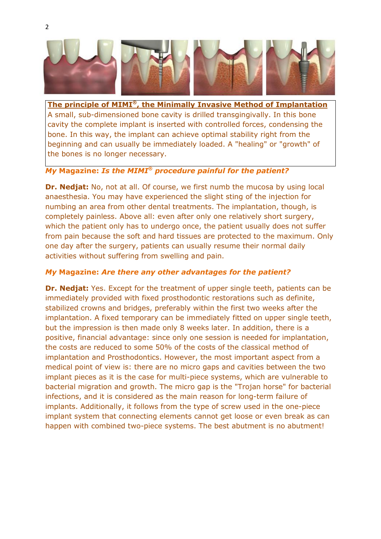

**The principle of MIMI® , the Minimally Invasive Method of Implantation** A small, sub-dimensioned bone cavity is drilled transgingivally. In this bone cavity the complete implant is inserted with controlled forces, condensing the bone. In this way, the implant can achieve optimal stability right from the beginning and can usually be immediately loaded. A "healing" or "growth" of the bones is no longer necessary.

## *My* **Magazine:** *Is the MIMI***®** *procedure painful for the patient?*

**Dr. Nedjat:** No, not at all. Of course, we first numb the mucosa by using local anaesthesia. You may have experienced the slight sting of the injection for numbing an area from other dental treatments. The implantation, though, is completely painless. Above all: even after only one relatively short surgery, which the patient only has to undergo once, the patient usually does not suffer from pain because the soft and hard tissues are protected to the maximum. Only one day after the surgery, patients can usually resume their normal daily activities without suffering from swelling and pain.

#### *My* **Magazine:** *Are there any other advantages for the patient?*

**Dr. Nedjat:** Yes. Except for the treatment of upper single teeth, patients can be immediately provided with fixed prosthodontic restorations such as definite, stabilized crowns and bridges, preferably within the first two weeks after the implantation. A fixed temporary can be immediately fitted on upper single teeth, but the impression is then made only 8 weeks later. In addition, there is a positive, financial advantage: since only one session is needed for implantation, the costs are reduced to some 50% of the costs of the classical method of implantation and Prosthodontics. However, the most important aspect from a medical point of view is: there are no micro gaps and cavities between the two implant pieces as it is the case for multi-piece systems, which are vulnerable to bacterial migration and growth. The micro gap is the "Trojan horse" for bacterial infections, and it is considered as the main reason for long-term failure of implants. Additionally, it follows from the type of screw used in the one-piece implant system that connecting elements cannot get loose or even break as can happen with combined two-piece systems. The best abutment is no abutment!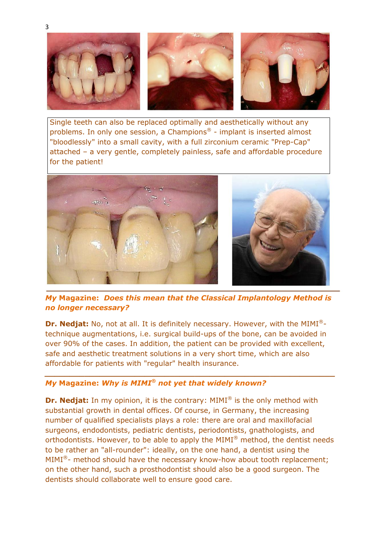

Single teeth can also be replaced optimally and aesthetically without any problems. In only one session, a Champions ® - implant is inserted almost "bloodlessly" into a small cavity, with a full zirconium ceramic "Prep-Cap" attached – a very gentle, completely painless, safe and affordable procedure for the patient!



*My* **Magazine:** *Does this mean that the Classical Implantology Method is no longer necessary?*

**Dr. Nedjat:** No, not at all. It is definitely necessary. However, with the MIMI® technique augmentations, i.e. surgical build-ups of the bone, can be avoided in over 90% of the cases. In addition, the patient can be provided with excellent, safe and aesthetic treatment solutions in a very short time, which are also affordable for patients with "regular" health insurance.

*\_\_\_\_\_\_\_\_\_\_\_\_\_\_\_\_\_\_\_\_\_\_\_\_\_\_\_\_\_\_\_\_\_\_\_\_\_\_\_\_\_\_\_\_\_\_\_\_\_\_\_\_\_\_\_\_\_\_*

# *My* **Magazine:** *Why is MIMI® not yet that widely known?*

**Dr. Nedjat:** In my opinion, it is the contrary: MIMI<sup>®</sup> is the only method with substantial growth in dental offices. Of course, in Germany, the increasing number of qualified specialists plays a role: there are oral and maxillofacial surgeons, endodontists, pediatric dentists, periodontists, gnathologists, and orthodontists. However, to be able to apply the MIMI® method, the dentist needs to be rather an "all-rounder": ideally, on the one hand, a dentist using the MIMI<sup>®</sup>- method should have the necessary know-how about tooth replacement; on the other hand, such a prosthodontist should also be a good surgeon. The dentists should collaborate well to ensure good care.